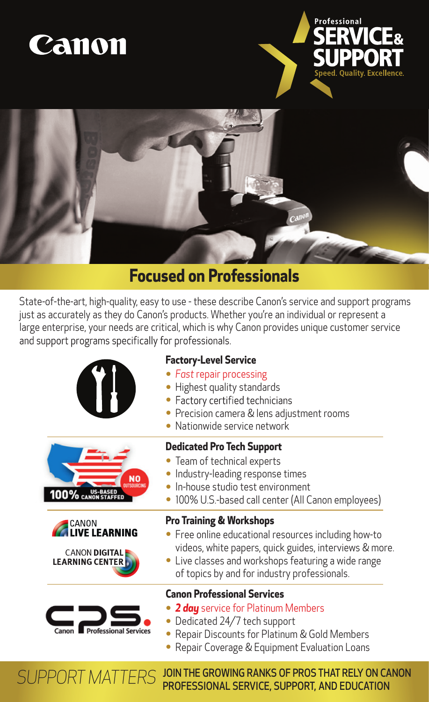





## **Focused on Professionals**

State-of-the-art, high-quality, easy to use - these describe Canon's service and support programs just as accurately as they do Canon's products. Whether you're an individual or represent a large enterprise, your needs are critical, which is why Canon provides unique customer service and support programs specifically for professionals.









## **Factory-Level Service**

- *Fast* repair processing
- Highest quality standards
- Factory certified technicians
- Precision camera & lens adjustment rooms
- Nationwide service network

## **Dedicated Pro Tech Support**

- Team of technical experts
- Industry-leading response times
- In-house studio test environment
- 100% U.S.-based call center (All Canon employees)

### **Pro Training & Workshops**

- Free online educational resources including how-to videos, white papers, quick guides, interviews & more.
- Live classes and workshops featuring a wide range of topics by and for industry professionals.

### **Canon Professional Services**

- *2 day* service for Platinum Members
- Dedicated 24/7 tech support
- Repair Discounts for Platinum & Gold Members
- Repair Coverage & Equipment Evaluation Loans

JOIN THE GROWING RANKS OF PROS THAT RELY ON CANON PROFESSIONAL SERVICE, SUPPORT, AND EDUCATION *SUPPORT MATTERS*